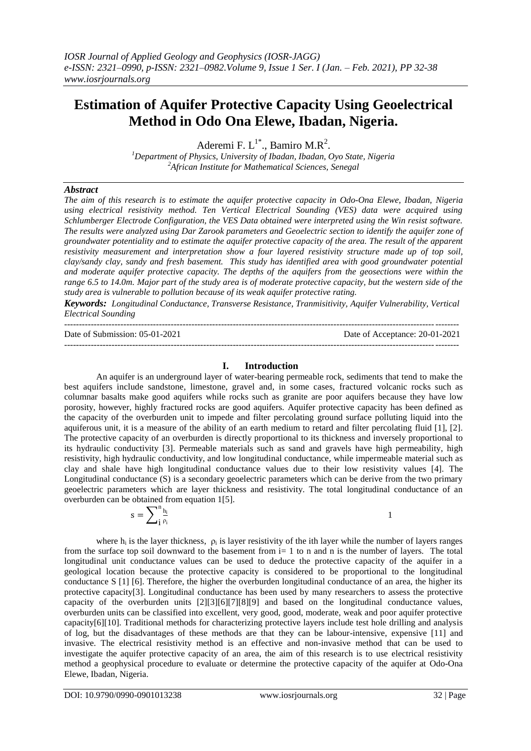# **Estimation of Aquifer Protective Capacity Using Geoelectrical Method in Odo Ona Elewe, Ibadan, Nigeria.**

Aderemi F.  $L^{1^*}$ ., Bamiro M.R<sup>2</sup>.

*<sup>1</sup>Department of Physics, University of Ibadan, Ibadan, Oyo State, Nigeria <sup>2</sup>African Institute for Mathematical Sciences, Senegal*

## *Abstract*

*The aim of this research is to estimate the aquifer protective capacity in Odo-Ona Elewe, Ibadan, Nigeria using electrical resistivity method. Ten Vertical Electrical Sounding (VES) data were acquired using Schlumberger Electrode Configuration, the VES Data obtained were interpreted using the Win resist software. The results were analyzed using Dar Zarook parameters and Geoelectric section to identify the aquifer zone of groundwater potentiality and to estimate the aquifer protective capacity of the area. The result of the apparent resistivity measurement and interpretation show a four layered resistivity structure made up of top soil, clay/sandy clay, sandy and fresh basement. This study has identified area with good groundwater potential and moderate aquifer protective capacity. The depths of the aquifers from the geosections were within the range 6.5 to 14.0m. Major part of the study area is of moderate protective capacity, but the western side of the study area is vulnerable to pollution because of its weak aquifer protective rating.* 

*Keywords: Longitudinal Conductance, Transverse Resistance, Tranmisitivity, Aquifer Vulnerability, Vertical Electrical Sounding* -------------------------------------------------------------------------------------------------------------------------------------

Date of Submission: 05-01-2021 Date of Acceptance: 20-01-2021

 $-1-\frac{1}{2}$ 

#### **I. Introduction**

An aquifer is an underground layer of water-bearing permeable rock, sediments that tend to make the best aquifers include sandstone, limestone, gravel and, in some cases, fractured volcanic rocks such as columnar basalts make good aquifers while rocks such as granite are poor aquifers because they have low porosity, however, highly fractured rocks are good aquifers. Aquifer protective capacity has been defined as the capacity of the overburden unit to impede and filter percolating ground surface polluting liquid into the aquiferous unit, it is a measure of the ability of an earth medium to retard and filter percolating fluid [1], [2]. The protective capacity of an overburden is directly proportional to its thickness and inversely proportional to its hydraulic conductivity [3]. Permeable materials such as sand and gravels have high permeability, high resistivity, high hydraulic conductivity, and low longitudinal conductance, while impermeable material such as clay and shale have high longitudinal conductance values due to their low resistivity values [4]. The Longitudinal conductance (S) is a secondary geoelectric parameters which can be derive from the two primary geoelectric parameters which are layer thickness and resistivity. The total longitudinal conductance of an overburden can be obtained from equation 1[5].

$$
\mathrm{s}=\sum\nolimits_{\mathbf{i}}^{\mathrm{n}}\tfrac{\mathrm{h}_{\mathrm{i}}}{\mathrm{\rho}_{\mathrm{i}}}
$$

1

where  $h_i$  is the layer thickness,  $\rho_i$  is layer resistivity of the ith layer while the number of layers ranges from the surface top soil downward to the basement from i= 1 to n and n is the number of layers. The total longitudinal unit conductance values can be used to deduce the protective capacity of the aquifer in a geological location because the protective capacity is considered to be proportional to the longitudinal conductance S [1] [6]. Therefore, the higher the overburden longitudinal conductance of an area, the higher its protective capacity[3]. Longitudinal conductance has been used by many researchers to assess the protective capacity of the overburden units [2][3][6][7][8][9] and based on the longitudinal conductance values, overburden units can be classified into excellent, very good, good, moderate, weak and poor aquifer protective capacity[6][10]. Traditional methods for characterizing protective layers include test hole drilling and analysis of log, but the disadvantages of these methods are that they can be labour-intensive, expensive [11] and invasive. The electrical resistivity method is an effective and non-invasive method that can be used to investigate the aquifer protective capacity of an area, the aim of this research is to use electrical resistivity method a geophysical procedure to evaluate or determine the protective capacity of the aquifer at Odo-Ona Elewe, Ibadan, Nigeria.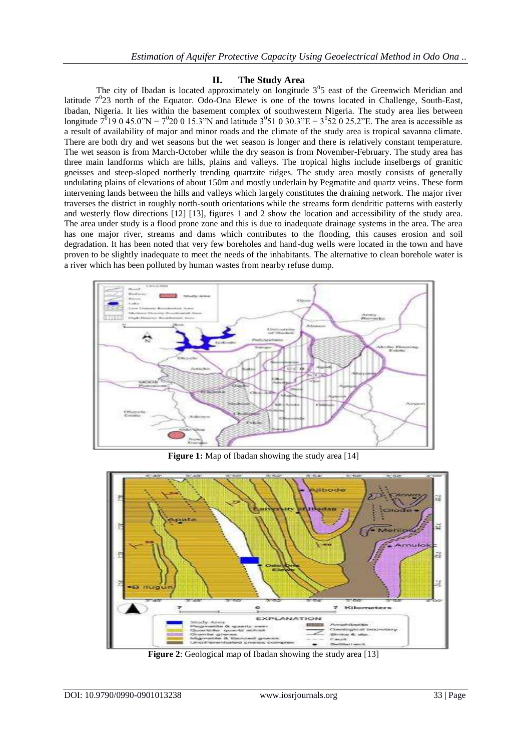## **II. The Study Area**

The city of Ibadan is located approximately on longitude  $3<sup>0</sup>5$  east of the Greenwich Meridian and latitude  $7^{0}23$  north of the Equator. Odo-Ona Elewe is one of the towns located in Challenge, South-East, Ibadan, Nigeria. It lies within the basement complex of southwestern Nigeria. The study area lies between longitude  $7^{0}$ 19 0 45.0"N –  $7^{0}$ 20 0 15.3"N and latitude  $3^{0}$ 51 0 30.3"E –  $3^{0}$ 52 0 25.2"E. The area is accessible as a result of availability of major and minor roads and the climate of the study area is tropical savanna climate. There are both dry and wet seasons but the wet season is longer and there is relatively constant temperature. The wet season is from March-October while the dry season is from November-February. The study area has three main landforms which are hills, plains and valleys. The tropical highs include inselbergs of granitic gneisses and steep-sloped northerly trending quartzite ridges. The study area mostly consists of generally undulating plains of elevations of about 150m and mostly underlain by Pegmatite and quartz veins. These form intervening lands between the hills and valleys which largely constitutes the draining network. The major river traverses the district in roughly north-south orientations while the streams form dendritic patterns with easterly and westerly flow directions [12] [13], figures 1 and 2 show the location and accessibility of the study area. The area under study is a flood prone zone and this is due to inadequate drainage systems in the area. The area has one major river, streams and dams which contributes to the flooding, this causes erosion and soil degradation. It has been noted that very few boreholes and hand-dug wells were located in the town and have proven to be slightly inadequate to meet the needs of the inhabitants. The alternative to clean borehole water is a river which has been polluted by human wastes from nearby refuse dump.



**Figure 1:** Map of Ibadan showing the study area [14]



**Figure 2**: Geological map of Ibadan showing the study area [13]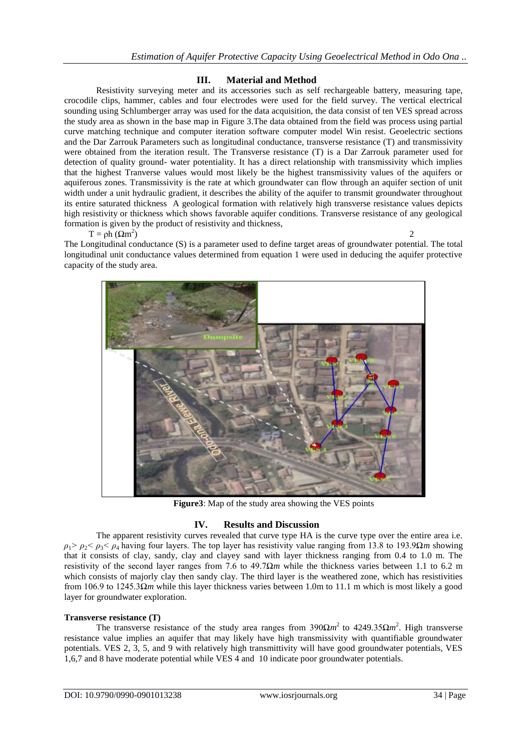## **III. Material and Method**

Resistivity surveying meter and its accessories such as self rechargeable battery, measuring tape, crocodile clips, hammer, cables and four electrodes were used for the field survey. The vertical electrical sounding using Schlumberger array was used for the data acquisition, the data consist of ten VES spread across the study area as shown in the base map in Figure 3.The data obtained from the field was process using partial curve matching technique and computer iteration software computer model Win resist. Geoelectric sections and the Dar Zarrouk Parameters such as longitudinal conductance, transverse resistance (T) and transmissivity were obtained from the iteration result. The Transverse resistance (T) is a Dar Zarrouk parameter used for detection of quality ground- water potentiality. It has a direct relationship with transmissivity which implies that the highest Tranverse values would most likely be the highest transmissivity values of the aquifers or aquiferous zones. Transmissivity is the rate at which groundwater can flow through an aquifer section of unit width under a unit hydraulic gradient, it describes the ability of the aquifer to transmit groundwater throughout its entire saturated thickness A geological formation with relatively high transverse resistance values depicts high resistivity or thickness which shows favorable aquifer conditions. Transverse resistance of any geological formation is given by the product of resistivity and thickness,  $)$  2

## $T = \rho h (Qm^2)$

The Longitudinal conductance (S) is a parameter used to define target areas of groundwater potential. The total longitudinal unit conductance values determined from equation 1 were used in deducing the aquifer protective capacity of the study area.



 **Figure3**: Map of the study area showing the VES points

## **IV. Results and Discussion**

The apparent resistivity curves revealed that curve type HA is the curve type over the entire area i.e. *ρ*1*> ρ*2*< ρ*3*< ρ*4 having four layers. The top layer has resistivity value ranging from 13.8 to 193.9Ω*m* showing that it consists of clay, sandy, clay and clayey sand with layer thickness ranging from 0.4 to 1.0 m. The resistivity of the second layer ranges from 7.6 to 49.7Ω*m* while the thickness varies between 1.1 to 6.2 m which consists of majorly clay then sandy clay. The third layer is the weathered zone, which has resistivities from 106.9 to 1245.3Ω*m* while this layer thickness varies between 1.0m to 11.1 m which is most likely a good layer for groundwater exploration.

## **Transverse resistance (T)**

The transverse resistance of the study area ranges from  $390\Omega m^2$  to  $4249.35\Omega m^2$ . High transverse resistance value implies an aquifer that may likely have high transmissivity with quantifiable groundwater potentials. VES 2, 3, 5, and 9 with relatively high transmittivity will have good groundwater potentials, VES 1,6,7 and 8 have moderate potential while VES 4 and 10 indicate poor groundwater potentials.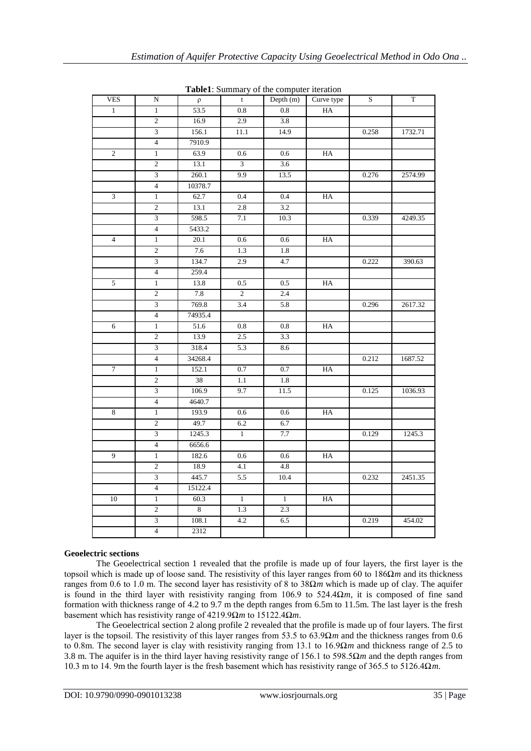| <b>radici</b> . Summary of the computer neration |                          |         |                  |              |             |                |         |
|--------------------------------------------------|--------------------------|---------|------------------|--------------|-------------|----------------|---------|
| <b>VES</b>                                       | $\mathbf N$              | $\rho$  | $\mathbf{t}$     | Depth $(m)$  | Curve type  | $\overline{S}$ | $\rm T$ |
| $\mathbf{1}$                                     | $\mathbf{1}$             | 53.5    | 0.8              | $0.8\,$      | HA          |                |         |
|                                                  | $\overline{2}$           | 16.9    | 2.9              | 3.8          |             |                |         |
|                                                  | $\overline{3}$           | 156.1   | 11.1             | 14.9         |             | 0.258          | 1732.71 |
|                                                  | $\overline{4}$           | 7910.9  |                  |              |             |                |         |
| $\overline{2}$                                   | $\overline{1}$           | 63.9    | 0.6              | 0.6          | HA          |                |         |
|                                                  | $\mathfrak{2}$           | 13.1    | $\overline{3}$   | 3.6          |             |                |         |
|                                                  | $\overline{3}$           | 260.1   | 9.9              | 13.5         |             | 0.276          | 2574.99 |
|                                                  | $\overline{4}$           | 10378.7 |                  |              |             |                |         |
| $\overline{3}$                                   | $\mathbf{1}$             | 62.7    | 0.4              | 0.4          | HA          |                |         |
|                                                  | $\mathbf{2}$             | 13.1    | 2.8              | 3.2          |             |                |         |
|                                                  | 3                        | 598.5   | 7.1              | 10.3         |             | 0.339          | 4249.35 |
|                                                  | $\overline{4}$           | 5433.2  |                  |              |             |                |         |
| $\overline{4}$                                   | $\overline{1}$           | 20.1    | 0.6              | 0.6          | HA          |                |         |
|                                                  | $\overline{c}$           | 7.6     | 1.3              | 1.8          |             |                |         |
|                                                  | $\overline{3}$           | 134.7   | 2.9              | 4.7          |             | 0.222          | 390.63  |
|                                                  | $\overline{\mathcal{L}}$ | 259.4   |                  |              |             |                |         |
| $\mathfrak s$                                    | $\,1\,$                  | 13.8    | 0.5              | 0.5          | HA          |                |         |
|                                                  | $\overline{2}$           | 7.8     | $\overline{c}$   | 2.4          |             |                |         |
|                                                  | 3                        | 769.8   | 3.4              | 5.8          |             | 0.296          | 2617.32 |
|                                                  | $\overline{4}$           | 74935.4 |                  |              |             |                |         |
| 6                                                | $\mathbf{1}$             | 51.6    | 0.8              | 0.8          | HA          |                |         |
|                                                  | $\mathfrak{2}$           | 13.9    | 2.5              | 3.3          |             |                |         |
|                                                  | $\overline{3}$           | 318.4   | 5.3              | 8.6          |             |                |         |
|                                                  | $\overline{4}$           | 34268.4 |                  |              |             | 0.212          | 1687.52 |
| 7                                                | $\mathbf{1}$             | 152.1   | 0.7              | 0.7          | HA          |                |         |
|                                                  | $\overline{2}$           | 38      | 1.1              | 1.8          |             |                |         |
|                                                  | $\overline{\mathbf{3}}$  | 106.9   | 9.7              | 11.5         |             | 0.125          | 1036.93 |
|                                                  | $\overline{4}$           | 4640.7  |                  |              |             |                |         |
| 8                                                | $\mathbf{1}$             | 193.9   | 0.6              | 0.6          | HA          |                |         |
|                                                  | $\boldsymbol{2}$         | 49.7    | 6.2              | 6.7          |             |                |         |
|                                                  | $\overline{3}$           | 1245.3  | $\mathbf{1}$     | 7.7          |             | 0.129          | 1245.3  |
|                                                  | $\overline{4}$           | 6656.6  |                  |              |             |                |         |
| $\overline{9}$                                   | $\overline{1}$           | 182.6   | 0.6              | 0.6          | HA          |                |         |
|                                                  | $\overline{2}$           | 18.9    | 4.1              | 4.8          |             |                |         |
|                                                  | $\overline{3}$           | 445.7   | 5.5              | 10.4         |             | 0.232          | 2451.35 |
|                                                  | $\overline{4}$           | 15122.4 |                  |              |             |                |         |
| 10                                               | $\mathbf{1}$             | 60.3    | $\mathbf{1}$     | $\mathbf{1}$ | $_{\rm HA}$ |                |         |
|                                                  | $\overline{c}$           | $\,8\,$ | $\overline{1.3}$ | 2.3          |             |                |         |
|                                                  | $\overline{3}$           | 108.1   | 4.2              | 6.5          |             | 0.219          | 454.02  |
|                                                  | $\overline{4}$           | 2312    |                  |              |             |                |         |
|                                                  |                          |         |                  |              |             |                |         |

**Table1**: Summary of the computer iteration

## **Geoelectric sections**

The Geoelectrical section 1 revealed that the profile is made up of four layers, the first layer is the topsoil which is made up of loose sand. The resistivity of this layer ranges from 60 to 186Ω*m* and its thickness ranges from 0.6 to 1.0 m. The second layer has resistivity of 8 to 38Ω*m* which is made up of clay. The aquifer is found in the third layer with resistivity ranging from 106.9 to 524.4 $\Omega$ *m*, it is composed of fine sand formation with thickness range of 4.2 to 9.7 m the depth ranges from 6.5m to 11.5m. The last layer is the fresh basement which has resistivity range of 4219.9Ω*m* to 15122.4Ω*m*.

The Geoelectrical section 2 along profile 2 revealed that the profile is made up of four layers. The first layer is the topsoil. The resistivity of this layer ranges from 53.5 to 63.9Ω*m* and the thickness ranges from 0.6 to 0.8m. The second layer is clay with resistivity ranging from 13.1 to 16.9Ω*m* and thickness range of 2.5 to 3.8 m. The aquifer is in the third layer having resistivity range of 156.1 to 598.5Ω*m* and the depth ranges from 10.3 m to 14. 9m the fourth layer is the fresh basement which has resistivity range of 365.5 to 5126.4Ω*m*.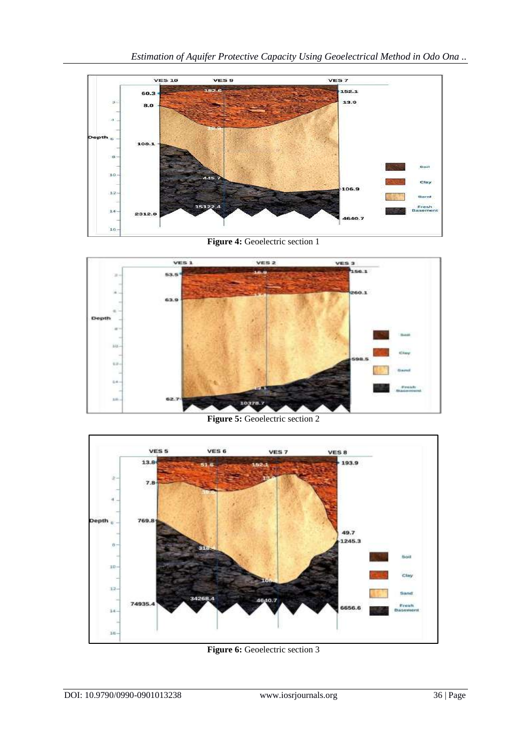

**Figure 4: Geoelectric section 1** 



**Figure 5:** Geoelectric section 2



**Figure 6:** Geoelectric section 3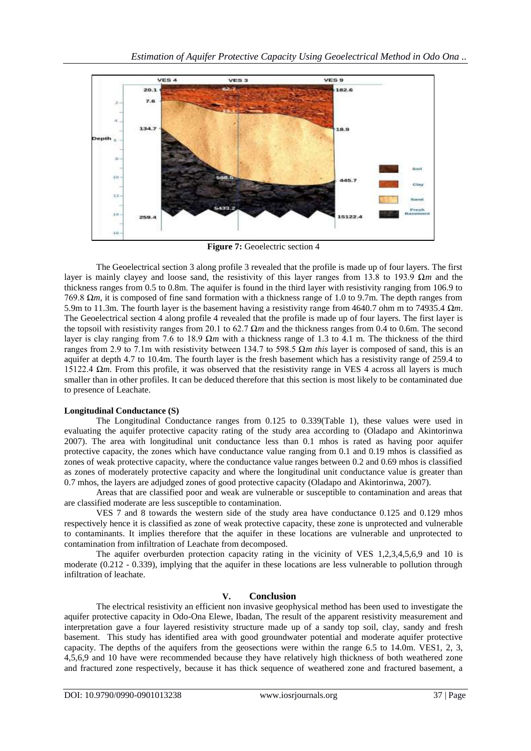

**Figure 7:** Geoelectric section 4

The Geoelectrical section 3 along profile 3 revealed that the profile is made up of four layers. The first layer is mainly clayey and loose sand, the resistivity of this layer ranges from 13.8 to 193.9 Ω*m* and the thickness ranges from 0.5 to 0.8m. The aquifer is found in the third layer with resistivity ranging from 106.9 to 769.8 Ω*m*, it is composed of fine sand formation with a thickness range of 1.0 to 9.7m. The depth ranges from 5.9m to 11.3m. The fourth layer is the basement having a resistivity range from 4640.7 ohm m to 74935.4 Ω*m*. The Geoelectrical section 4 along profile 4 revealed that the profile is made up of four layers. The first layer is the topsoil with resistivity ranges from 20.1 to 62.7 Ω*m* and the thickness ranges from 0.4 to 0.6m. The second layer is clay ranging from 7.6 to 18.9 Ω*m* with a thickness range of 1.3 to 4.1 m. The thickness of the third ranges from 2.9 to 7.1m with resistivity between 134.7 to 598.5 Ω*m this* layer is composed of sand, this is an aquifer at depth 4.7 to 10.4m. The fourth layer is the fresh basement which has a resistivity range of 259.4 to 15122.4 Ω*m*. From this profile, it was observed that the resistivity range in VES 4 across all layers is much smaller than in other profiles. It can be deduced therefore that this section is most likely to be contaminated due to presence of Leachate.

## **Longitudinal Conductance (S)**

The Longitudinal Conductance ranges from 0.125 to 0.339(Table 1), these values were used in evaluating the aquifer protective capacity rating of the study area according to (Oladapo and Akintorinwa 2007). The area with longitudinal unit conductance less than 0.1 mhos is rated as having poor aquifer protective capacity, the zones which have conductance value ranging from 0.1 and 0.19 mhos is classified as zones of weak protective capacity, where the conductance value ranges between 0.2 and 0.69 mhos is classified as zones of moderately protective capacity and where the longitudinal unit conductance value is greater than 0.7 mhos, the layers are adjudged zones of good protective capacity (Oladapo and Akintorinwa, 2007).

Areas that are classified poor and weak are vulnerable or susceptible to contamination and areas that are classified moderate are less susceptible to contamination.

VES 7 and 8 towards the western side of the study area have conductance 0.125 and 0.129 mhos respectively hence it is classified as zone of weak protective capacity, these zone is unprotected and vulnerable to contaminants. It implies therefore that the aquifer in these locations are vulnerable and unprotected to contamination from infiltration of Leachate from decomposed.

The aquifer overburden protection capacity rating in the vicinity of VES 1,2,3,4,5,6,9 and 10 is moderate (0.212 - 0.339), implying that the aquifer in these locations are less vulnerable to pollution through infiltration of leachate.

## **V. Conclusion**

The electrical resistivity an efficient non invasive geophysical method has been used to investigate the aquifer protective capacity in Odo-Ona Elewe, Ibadan, The result of the apparent resistivity measurement and interpretation gave a four layered resistivity structure made up of a sandy top soil, clay, sandy and fresh basement. This study has identified area with good groundwater potential and moderate aquifer protective capacity. The depths of the aquifers from the geosections were within the range 6.5 to 14.0m. VES1, 2, 3, 4,5,6,9 and 10 have were recommended because they have relatively high thickness of both weathered zone and fractured zone respectively, because it has thick sequence of weathered zone and fractured basement, a